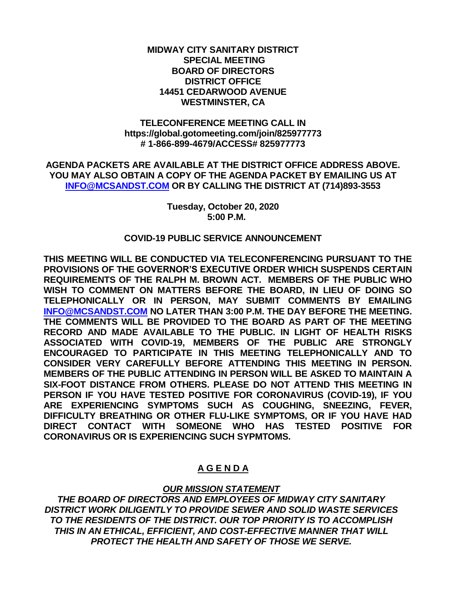#### **MIDWAY CITY SANITARY DISTRICT SPECIAL MEETING BOARD OF DIRECTORS DISTRICT OFFICE 14451 CEDARWOOD AVENUE WESTMINSTER, CA**

#### **TELECONFERENCE MEETING CALL IN https://global.gotomeeting.com/join/825977773 # 1-866-899-4679/ACCESS# 825977773**

**AGENDA PACKETS ARE AVAILABLE AT THE DISTRICT OFFICE ADDRESS ABOVE. YOU MAY ALSO OBTAIN A COPY OF THE AGENDA PACKET BY EMAILING US AT [INFO@MCSANDST.COM](mailto:INFO@MCSANDST.COM) OR BY CALLING THE DISTRICT AT (714)893-3553**

> **Tuesday, October 20, 2020 5:00 P.M.**

#### **COVID-19 PUBLIC SERVICE ANNOUNCEMENT**

**THIS MEETING WILL BE CONDUCTED VIA TELECONFERENCING PURSUANT TO THE PROVISIONS OF THE GOVERNOR'S EXECUTIVE ORDER WHICH SUSPENDS CERTAIN REQUIREMENTS OF THE RALPH M. BROWN ACT. MEMBERS OF THE PUBLIC WHO WISH TO COMMENT ON MATTERS BEFORE THE BOARD, IN LIEU OF DOING SO TELEPHONICALLY OR IN PERSON, MAY SUBMIT COMMENTS BY EMAILING [INFO@MCSANDST.COM](mailto:INFO@MCSANDST.COM) NO LATER THAN 3:00 P.M. THE DAY BEFORE THE MEETING. THE COMMENTS WILL BE PROVIDED TO THE BOARD AS PART OF THE MEETING RECORD AND MADE AVAILABLE TO THE PUBLIC. IN LIGHT OF HEALTH RISKS ASSOCIATED WITH COVID-19, MEMBERS OF THE PUBLIC ARE STRONGLY ENCOURAGED TO PARTICIPATE IN THIS MEETING TELEPHONICALLY AND TO CONSIDER VERY CAREFULLY BEFORE ATTENDING THIS MEETING IN PERSON. MEMBERS OF THE PUBLIC ATTENDING IN PERSON WILL BE ASKED TO MAINTAIN A SIX-FOOT DISTANCE FROM OTHERS. PLEASE DO NOT ATTEND THIS MEETING IN PERSON IF YOU HAVE TESTED POSITIVE FOR CORONAVIRUS (COVID-19), IF YOU ARE EXPERIENCING SYMPTOMS SUCH AS COUGHING, SNEEZING, FEVER, DIFFICULTY BREATHING OR OTHER FLU-LIKE SYMPTOMS, OR IF YOU HAVE HAD DIRECT CONTACT WITH SOMEONE WHO HAS TESTED POSITIVE FOR CORONAVIRUS OR IS EXPERIENCING SUCH SYPMTOMS.** 

# **A G E N D A**

### *OUR MISSION STATEMENT*

*THE BOARD OF DIRECTORS AND EMPLOYEES OF MIDWAY CITY SANITARY DISTRICT WORK DILIGENTLY TO PROVIDE SEWER AND SOLID WASTE SERVICES TO THE RESIDENTS OF THE DISTRICT. OUR TOP PRIORITY IS TO ACCOMPLISH THIS IN AN ETHICAL, EFFICIENT, AND COST-EFFECTIVE MANNER THAT WILL PROTECT THE HEALTH AND SAFETY OF THOSE WE SERVE.*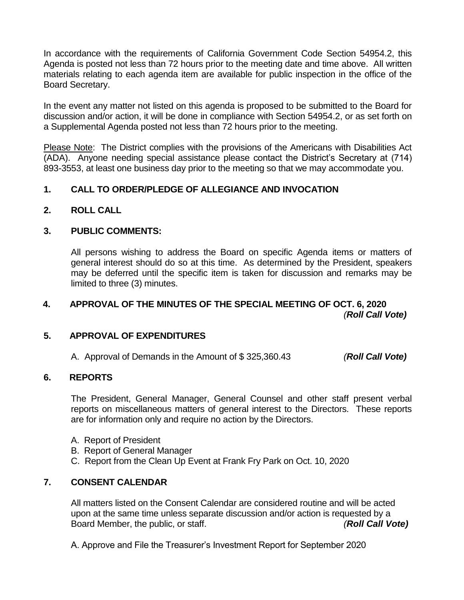In accordance with the requirements of California Government Code Section 54954.2, this Agenda is posted not less than 72 hours prior to the meeting date and time above. All written materials relating to each agenda item are available for public inspection in the office of the Board Secretary.

In the event any matter not listed on this agenda is proposed to be submitted to the Board for discussion and/or action, it will be done in compliance with Section 54954.2, or as set forth on a Supplemental Agenda posted not less than 72 hours prior to the meeting.

Please Note: The District complies with the provisions of the Americans with Disabilities Act (ADA). Anyone needing special assistance please contact the District's Secretary at (714) 893-3553, at least one business day prior to the meeting so that we may accommodate you.

## **1. CALL TO ORDER/PLEDGE OF ALLEGIANCE AND INVOCATION**

**2. ROLL CALL**

### **3. PUBLIC COMMENTS:**

All persons wishing to address the Board on specific Agenda items or matters of general interest should do so at this time. As determined by the President, speakers may be deferred until the specific item is taken for discussion and remarks may be limited to three (3) minutes.

## **4. APPROVAL OF THE MINUTES OF THE SPECIAL MEETING OF OCT. 6, 2020** *(Roll Call Vote)*

### **5. APPROVAL OF EXPENDITURES**

A. Approval of Demands in the Amount of \$ 325,360.43 *(Roll Call Vote)*

#### **6. REPORTS**

The President, General Manager, General Counsel and other staff present verbal reports on miscellaneous matters of general interest to the Directors. These reports are for information only and require no action by the Directors.

- A. Report of President
- B. Report of General Manager
- C. Report from the Clean Up Event at Frank Fry Park on Oct. 10, 2020

### **7. CONSENT CALENDAR**

All matters listed on the Consent Calendar are considered routine and will be acted upon at the same time unless separate discussion and/or action is requested by a Board Member, the public, or staff. *(Roll Call Vote)*

A. Approve and File the Treasurer's Investment Report for September 2020